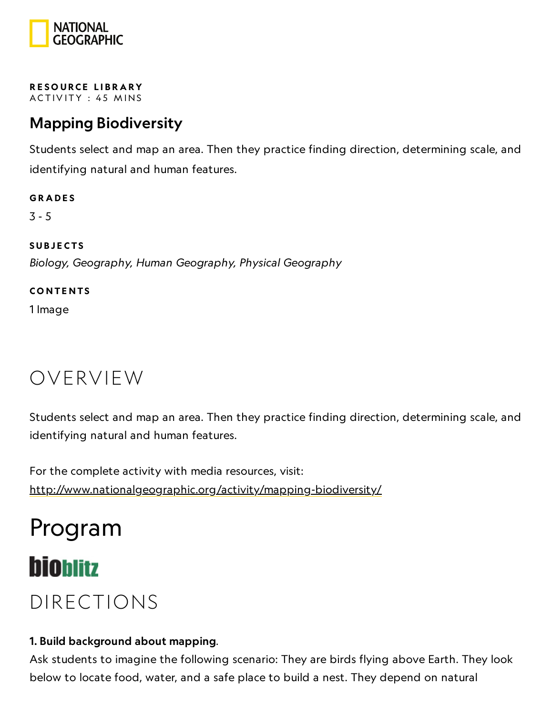

RESOURCE LIBRA[RY](https://www.nationalgeographic.org/education/resource-library/) ACTIVITY: 45 MINS

## Mapping Biodiversity

Students select and map an area. Then they practice finding direction, determining scale, and identifying natural and human features.

**GRADES** 3 - 5 **SUBJECTS** Biology, Geography, Human Geography, Physical Geography

**CONTENTS** 

1 Image

## OVERVIEW

Students select and map an area. Then they practice finding direction, determining scale, and identifying natural and human features.

For the complete activity with media resources, visit: <http://www.nationalgeographic.org/activity/mapping-biodiversity/>

# Program

## **bioblitz**

## DIRECTIONS

#### 1. Build background about mapping.

Ask students to imagine the following scenario: They are birds flying above Earth. They look below to locate food, water, and a safe place to build a nest. They depend on natural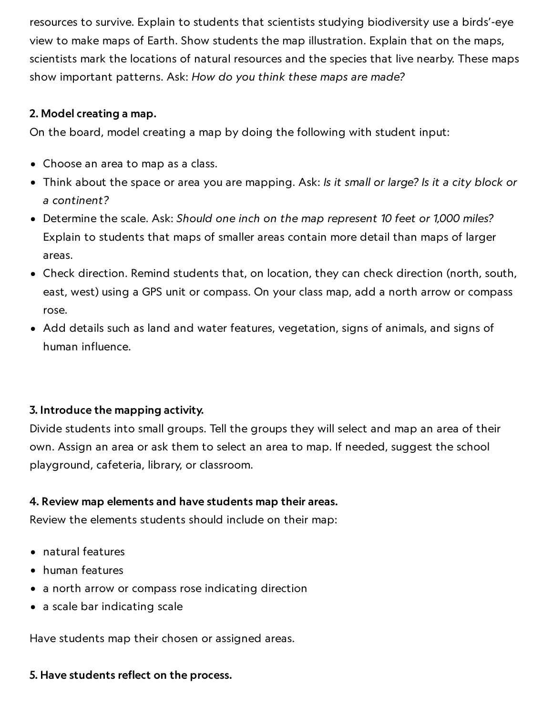resources to survive. Explain to students that scientists studying biodiversity use a birds'-eye view to make maps of Earth. Show students the map illustration. Explain that on the maps, scientists mark the locations of natural resources and the species that live nearby. These maps show important patterns. Ask: How do you think these maps are made?

#### 2. Model creating a map.

On the board, model creating a map by doing the following with student input:

- Choose an area to map as a class.
- Think about the space or area you are mapping. Ask: Is it small or large? Is it a city block or a continent?
- Determine the scale. Ask: Should one inch on the map represent 10 feet or 1,000 miles? Explain to students that maps of smaller areas contain more detail than maps of larger areas.
- Check direction. Remind students that, on location, they can check direction (north, south, east, west) using a GPS unit or compass. On your class map, add a north arrow or compass rose.
- Add details such as land and water features, vegetation, signs of animals, and signs of human influence.

#### 3. Introduce the mapping activity.

Divide students into small groups. Tell the groups they will select and map an area of their own. Assign an area or ask them to select an area to map. If needed, suggest the school playground, cafeteria, library, or classroom.

#### 4. Review map elements and have students map their areas.

Review the elements students should include on their map:

- natural features
- human features
- a north arrow or compass rose indicating direction
- a scale bar indicating scale

Have students map their chosen or assigned areas.

#### 5. Have students reflect on the process.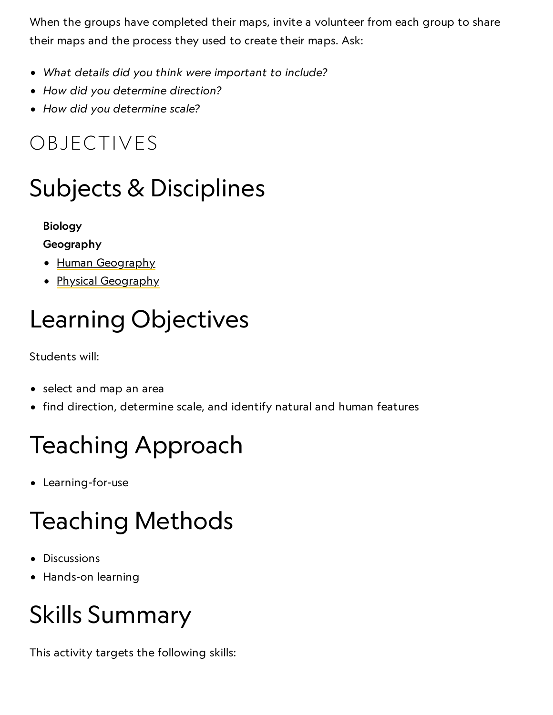When the groups have completed their maps, invite a volunteer from each group to share their maps and the process they used to create their maps. Ask:

- What details did you think were important to include?
- How did you determine direction?
- How did you determine scale?

## OBJECTIVES

## Subjects & Disciplines

### Biology

### Geography

- Human [Geography](https://www.nationalgeographic.org/encyclopedia/geography/)
- Physical [Geography](http://education.nationalgeographic.com/education/encyclopedia/geography/?ar_a=1)

# Learning Objectives

Students will:

- select and map an area
- find direction, determine scale, and identify natural and human features

# Teaching Approach

Learning-for-use

# Teaching Methods

- Discussions
- Hands-on learning

# Skills Summary

This activity targets the following skills: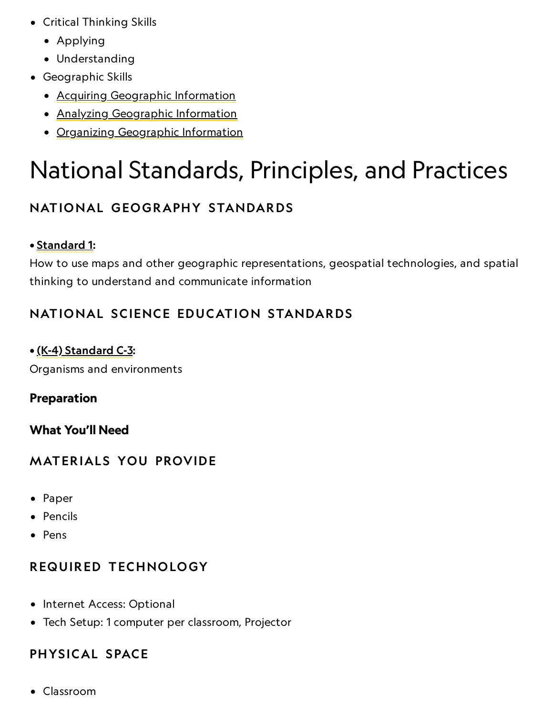- Critical Thinking Skills
	- Applying
	- Understanding
- Geographic Skills
	- Acquiring [Geographic](https://www.nationalgeographic.org/geographic-skills/2/) Information
	- Analyzing [Geographic](http://education.nationalgeographic.com/education/geographic-skills/4/?ar_a=1) Information
	- Organizing [Geographic](http://education.nationalgeographic.com/education/geographic-skills/3/?ar_a=1) Information

# National Standards, Principles, and Practices

## NATIONAL GEOGRAPHY STANDARDS

### • [Standard](https://www.nationalgeographic.org/education/standards/national-geography-standards/1/) 1:

How to use maps and other geographic representations, geospatial technologies, and spatial thinking to understand and communicate information

## NATIONAL SCIENCE EDUCATION STANDARDS

### • (K-4) [Standard](http://www.nap.edu/openbook.php?record_id=4962&page=127) C-3:

Organisms and environments

### Preparation

### What You'll Need

### **MATERIALS YOU PROVIDE**

- Paper
- Pencils
- Pens

### REQUIRED TECHNOLOGY

- Internet Access: Optional
- Tech Setup: 1 computer per classroom, Projector

### PHYSICAL SPACE

Classroom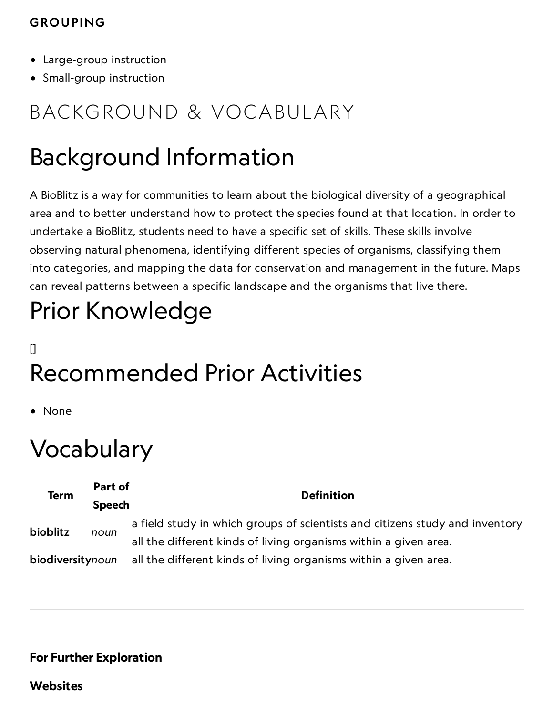### GROUPING

- Large-group instruction
- Small-group instruction

## BACKGROUND & VOCABULARY

## Background Information

A BioBlitz is a way for communities to learn about the biological diversity of a geographical area and to better understand how to protect the species found at that location. In order to undertake a BioBlitz, students need to have a specific set of skills. These skills involve observing natural phenomena, identifying different species of organisms, classifying them into categories, and mapping the data for conservation and management in the future. Maps can reveal patterns between a specific landscape and the organisms that live there.

# Prior Knowledge

## [] Recommended Prior Activities

• None

## Vocabulary

| <b>Term</b>      | Part of       | <b>Definition</b>                                                            |
|------------------|---------------|------------------------------------------------------------------------------|
|                  | <b>Speech</b> |                                                                              |
| bioblitz         | noun          | a field study in which groups of scientists and citizens study and inventory |
|                  |               | all the different kinds of living organisms within a given area.             |
| biodiversitynoun |               | all the different kinds of living organisms within a given area.             |

### For Further Exploration

**Websites**